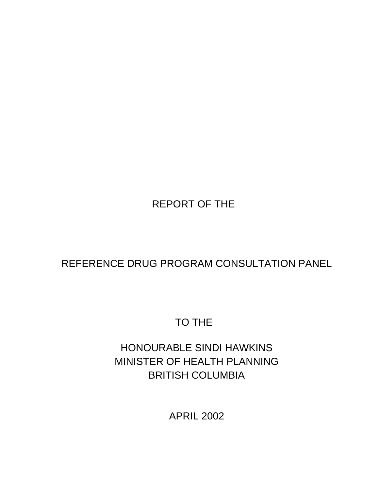# REPORT OF THE

# REFERENCE DRUG PROGRAM CONSULTATION PANEL

# TO THE

# HONOURABLE SINDI HAWKINS MINISTER OF HEALTH PLANNING BRITISH COLUMBIA

APRIL 2002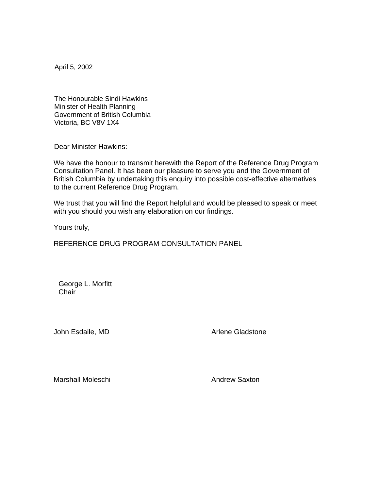April 5, 2002

The Honourable Sindi Hawkins Minister of Health Planning Government of British Columbia Victoria, BC V8V 1X4

Dear Minister Hawkins:

We have the honour to transmit herewith the Report of the Reference Drug Program Consultation Panel. It has been our pleasure to serve you and the Government of British Columbia by undertaking this enquiry into possible cost-effective alternatives to the current Reference Drug Program.

We trust that you will find the Report helpful and would be pleased to speak or meet with you should you wish any elaboration on our findings.

Yours truly,

REFERENCE DRUG PROGRAM CONSULTATION PANEL

 George L. Morfitt **Chair** 

John Esdaile, MD Arlene Gladstone

Marshall Moleschi Andrew Saxton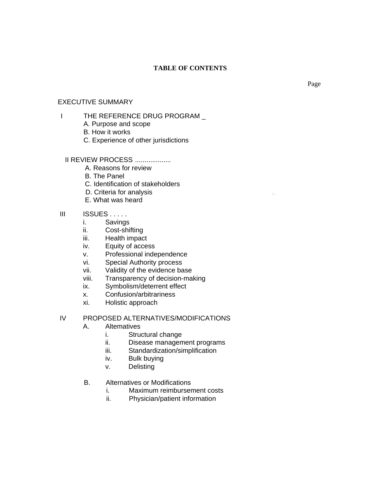## **TABLE OF CONTENTS**

#### EXECUTIVE SUMMARY

## I THE REFERENCE DRUG PROGRAM

- A. Purpose and scope
- B. How it works
- C. Experience of other jurisdictions

#### II REVIEW PROCESS ...................

- A. Reasons for review
- B. The Panel
- C. Identification of stakeholders
- D. Criteria for analysis ,: : .
- E. What was heard

## III ISSUES . . . . .

- i. Savings
- ii. Cost-shifting
- iii. Health impact
- iv. Equity of access
- v. Professional independence
- vi. Special Authority process
- vii. Validity of the evidence base
- viii. Transparency of decision-making
- ix. Symbolism/deterrent effect
- x. Confusion/arbitrariness
- xi. Holistic approach

### IV PROPOSED ALTERNATIVES/MODIFICATIONS

- A. Altematives
	- i. Structural change
	- ii. Disease management programs
	- iii. Standardization/simplification
	- iv. Bulk buying
	- v. Delisting
- B. Alternatives or Modifications
	- i. Maximum reimbursement costs
	- ii. Physician/patient information

Page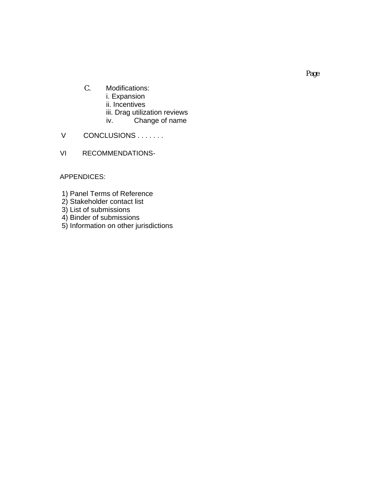- C. Modifications: i. Expansion ii. Incentives iii. Drag utilization reviews iv. Change of name
- V CONCLUSIONS . . . . . . .
- VI RECOMMENDATIONS-

APPENDICES:

- 1) Panel Terms of Reference
- 2) Stakeholder contact list
- 3) List of submissions
- 4) Binder of submissions
- 5) Information on other jurisdictions

Page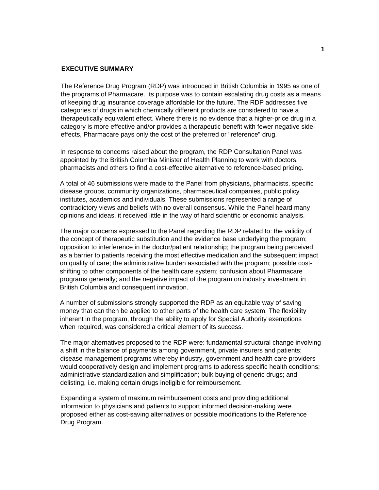#### **EXECUTIVE SUMMARY**

The Reference Drug Program (RDP) was introduced in British Columbia in 1995 as one of the programs of Pharmacare. Its purpose was to contain escalating drug costs as a means of keeping drug insurance coverage affordable for the future. The RDP addresses five categories of drugs in which chemically different products are considered to have a therapeutically equivalent effect. Where there is no evidence that a higher-price drug in a category is more effective and/or provides a therapeutic benefit with fewer negative sideeffects, Pharmacare pays only the cost of the preferred or "reference" drug.

In response to concerns raised about the program, the RDP Consultation Panel was appointed by the British Columbia Minister of Health Planning to work with doctors, pharmacists and others to find a cost-effective alternative to reference-based pricing.

A total of 46 submissions were made to the Panel from physicians, pharmacists, specific disease groups, community organizations, pharmaceutical companies, public policy institutes, academics and individuals. These submissions represented a range of contradictory views and beliefs with no overall consensus. While the Panel heard many opinions and ideas, it received little in the way of hard scientific or economic analysis.

The major concerns expressed to the Panel regarding the RDP related to: the validity of the concept of therapeutic substitution and the evidence base underlying the program; opposition to interference in the doctor/patient relationship; the program being perceived as a barrier to patients receiving the most effective medication and the subsequent impact on quality of care; the administrative burden associated with the program; possible costshifting to other components of the health care system; confusion about Pharmacare programs generally; and the negative impact of the program on industry investment in British Columbia and consequent innovation.

A number of submissions strongly supported the RDP as an equitable way of saving money that can then be applied to other parts of the health care system. The flexibility inherent in the program, through the ability to apply for Special Authority exemptions when required, was considered a critical element of its success.

The major alternatives proposed to the RDP were: fundamental structural change involving a shift in the balance of payments among government, private insurers and patients; disease management programs whereby industry, government and health care providers would cooperatively design and implement programs to address specific health conditions; administrative standardization and simplification; bulk buying of generic drugs; and delisting, i.e. making certain drugs ineligible for reimbursement.

Expanding a system of maximum reimbursement costs and providing additional information to physicians and patients to support informed decision-making were proposed either as cost-saving alternatives or possible modifications to the Reference Drug Program.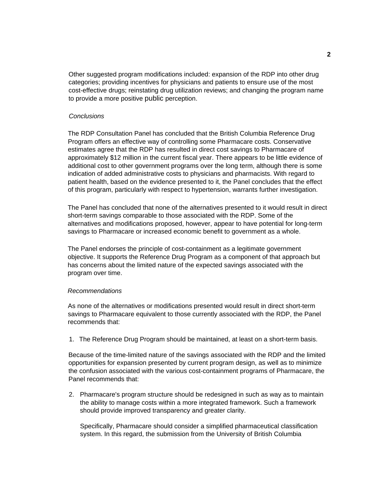Other suggested program modifications included: expansion of the RDP into other drug categories; providing incentives for physicians and patients to ensure use of the most cost-effective drugs; reinstating drug utilization reviews; and changing the program name to provide a more positive public perception.

#### *Conclusions*

The RDP Consultation Panel has concluded that the British Columbia Reference Drug Program offers an effective way of controlling some Pharmacare costs. Conservative estimates agree that the RDP has resulted in direct cost savings to Pharmacare of approximately \$12 million in the current fiscal year. There appears to be little evidence of additional cost to other government programs over the long term, although there is some indication of added administrative costs to physicians and pharmacists. With regard to patient health, based on the evidence presented to it, the Panel concludes that the effect of this program, particularly with respect to hypertension, warrants further investigation.

The Panel has concluded that none of the alternatives presented to it would result in direct short-term savings comparable to those associated with the RDP. Some of the alternatives and modifications proposed, however, appear to have potential for long-term savings to Pharmacare or increased economic benefit to government as a whole.

The Panel endorses the principle of cost-containment as a legitimate government objective. It supports the Reference Drug Program as a component of that approach but has concerns about the limited nature of the expected savings associated with the program over time.

#### *Recommendations*

As none of the alternatives or modifications presented would result in direct short-term savings to Pharmacare equivalent to those currently associated with the RDP, the Panel recommends that:

1. The Reference Drug Program should be maintained, at least on a short-term basis.

Because of the time-limited nature of the savings associated with the RDP and the limited opportunities for expansion presented by current program design, as well as to minimize the confusion associated with the various cost-containment programs of Pharmacare, the Panel recommends that:

2. Pharmacare's program structure should be redesigned in such as way as to maintain the ability to manage costs within a more integrated framework. Such a framework should provide improved transparency and greater clarity.

Specifically, Pharmacare should consider a simplified pharmaceutical classification system. In this regard, the submission from the University of British Columbia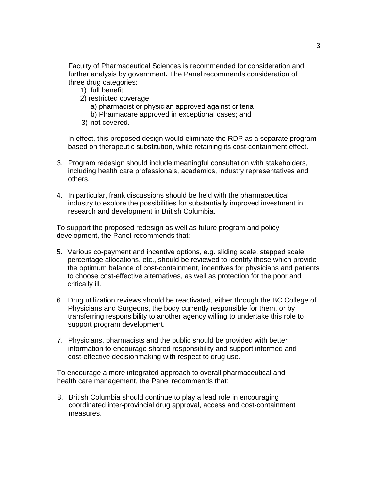Faculty of Pharmaceutical Sciences is recommended for consideration and further analysis by government**.** The Panel recommends consideration of three drug categories:

- 1) full benefit;
- 2) restricted coverage
	- a) pharmacist or physician approved against criteria
	- b) Pharmacare approved in exceptional cases; and
- 3) not covered.

In effect, this proposed design would eliminate the RDP as a separate program based on therapeutic substitution, while retaining its cost-containment effect.

- 3. Program redesign should include meaningful consultation with stakeholders, including health care professionals, academics, industry representatives and others.
- 4. In particular, frank discussions should be held with the pharmaceutical industry to explore the possibilities for substantially improved investment in research and development in British Columbia.

To support the proposed redesign as well as future program and policy development, the Panel recommends that:

- 5. Various co-payment and incentive options, e.g. sliding scale, stepped scale, percentage allocations, etc., should be reviewed to identify those which provide the optimum balance of cost-containment, incentives for physicians and patients to choose cost-effective alternatives, as well as protection for the poor and critically ill.
- 6. Drug utilization reviews should be reactivated, either through the BC College of Physicians and Surgeons, the body currently responsible for them, or by transferring responsibility to another agency willing to undertake this role to support program development.
- 7. Physicians, pharmacists and the public should be provided with better information to encourage shared responsibility and support informed and cost-effective decisionmaking with respect to drug use.

To encourage a more integrated approach to overall pharmaceutical and health care management, the Panel recommends that:

8. British Columbia should continue to play a lead role in encouraging coordinated inter-provincial drug approval, access and cost-containment measures.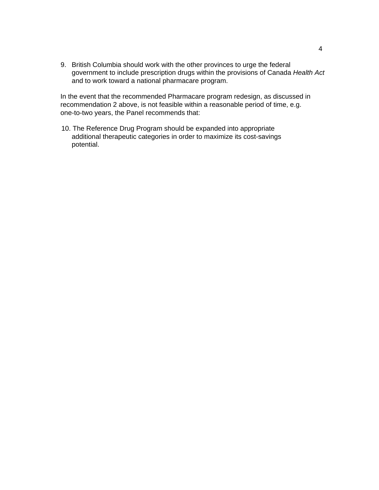9. British Columbia should work with the other provinces to urge the federal government to include prescription drugs within the provisions of Canada *Health Act*  and to work toward a national pharmacare program.

In the event that the recommended Pharmacare program redesign, as discussed in recommendation 2 above, is not feasible within a reasonable period of time, e.g. one-to-two years, the Panel recommends that:

10. The Reference Drug Program should be expanded into appropriate additional therapeutic categories in order to maximize its cost-savings potential.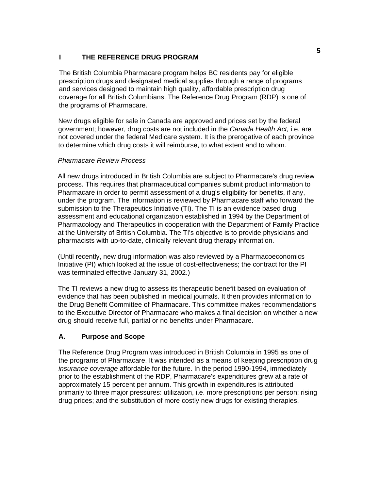## **I THE REFERENCE DRUG PROGRAM**

The British Columbia Pharmacare program helps BC residents pay for eligible prescription drugs and designated medical supplies through a range of programs and services designed to maintain high quality, affordable prescription drug coverage for all British Columbians. The Reference Drug Program (RDP) is one of the programs of Pharmacare.

New drugs eligible for sale in Canada are approved and prices set by the federal government; however, drug costs are not included in the *Canada Health Act,* i.e. are not covered under the federal Medicare system. It is the prerogative of each province to determine which drug costs it will reimburse, to what extent and to whom.

## *Pharmacare Review Process*

All new drugs introduced in British Columbia are subject to Pharmacare's drug review process. This requires that pharmaceutical companies submit product information to Pharmacare in order to permit assessment of a drug's eligibility for benefits, if any, under the program. The information is reviewed by Pharmacare staff who forward the submission to the Therapeutics Initiative (TI). The TI is an evidence based drug assessment and educational organization established in 1994 by the Department of Pharmacology and Therapeutics in cooperation with the Department of Family Practice at the University of British Columbia. The TI's objective is to provide physicians and pharmacists with up-to-date, clinically relevant drug therapy information.

(Until recently, new drug information was also reviewed by a Pharmacoeconomics Initiative (PI) which looked at the issue of cost-effectiveness; the contract for the PI was terminated effective January 31, 2002.)

The TI reviews a new drug to assess its therapeutic benefit based on evaluation of evidence that has been published in medical journals. It then provides information to the Drug Benefit Committee of Pharmacare. This committee makes recommendations to the Executive Director of Pharmacare who makes a final decision on whether a new drug should receive full, partial or no benefits under Pharmacare.

## **A. Purpose and Scope**

The Reference Drug Program was introduced in British Columbia in 1995 as one of the programs of Pharmacare. It was intended as a means of keeping prescription drug *insurance coverage* affordable for the future. In the period 1990-1994, immediately prior to the establishment of the RDP, Pharmacare's expenditures grew at a rate of approximately 15 percent per annum. This growth in expenditures is attributed primarily to three major pressures: utilization, i.e. more prescriptions per person; rising drug prices; and the substitution of more costly new drugs for existing therapies.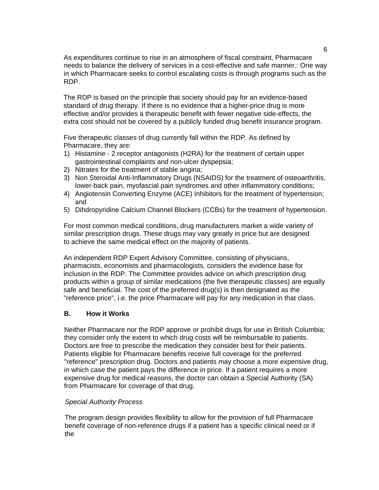As expenditures continue to rise in an atmosphere of fiscal constraint, Pharmacare needs to balance the delivery of services in a cost-effective and safe manner.: One way in which Pharmacare seeks to control escalating costs is through programs such as the RDP.

The RDP is based on the principle that society should pay for an evidence-based standard of drug therapy. If there is no evidence that a higher-price drug is more effective and/or provides a therapeutic benefit with fewer negative side-effects, the extra cost should not be covered by a publicly funded drug benefit insurance program.

Five therapeutic classes of drug currently fall within the RDP. As defined by Pharmacare, they are:

- 1) Histamine 2 receptor antagonists (H2RA) for the treatment of certain upper gastrointestinal complaints and non-ulcer dyspepsia;
- 2) Nitrates for the treatment of stable angina;
- 3) Non Steroidal Anti-Inflammatory Drugs (NSAIDS) for the treatment of osteoarthritis, lower-back pain, myofascial pain syndromes and other inflammatory conditions;
- 4) Angiotensin Converting Enzyme (ACE) Inhibitors for the treatment of hypertension; and
- 5) Dihdropyridine Calcium Channel Blockers (CCBs) for the treatment of hypertension.

For most common medical conditions, drug manufacturers market a wide variety of similar prescription drugs. These drugs may vary greatly in price but are designed to achieve the same medical effect on the majority of patients.

An independent RDP Expert Advisory Committee, consisting of physicians, pharmacists, economists and pharmacologists, considers the evidence base for inclusion in the RDP. The Committee provides advice on which prescription drug products within a group of similar medications (the five therapeutic classes) are equally safe and beneficial. The cost of the preferred drug(s) is then designated as the "reference price", i.e. the price Pharmacare will pay for any medication in that class.

#### **B. How it Works**

Neither Pharmacare nor the RDP approve or prohibit drugs for use in British Columbia; they consider only the extent to which drug costs will be reimbursable to patients. Doctors are free to prescribe the medication they consider best for their patients. Patients eligible for Pharmacare benefits receive full coverage for the preferred "reference" prescription drug. Doctors and patients may choose a more expensive drug, in which case the patient pays the difference in price. If a patient requires a more expensive drug for medical reasons, the doctor can obtain a Special Authority (SA) from Pharmacare for coverage of that drug.

#### *Special Authority Process*

The program design provides flexibility to allow for the provision of full Pharmacare benefit coverage of non-reference drugs if a patient has a specific clinical need or if the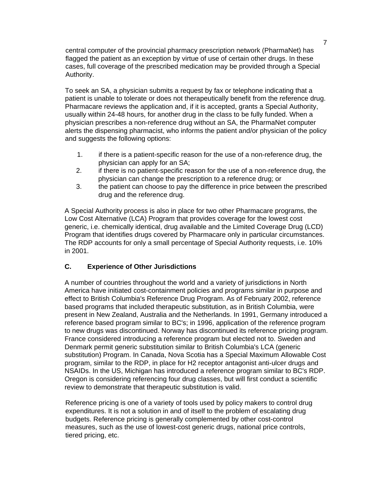central computer of the provincial pharmacy prescription network (PharmaNet) has flagged the patient as an exception by virtue of use of certain other drugs. In these cases, full coverage of the prescribed medication may be provided through a Special Authority.

To seek an SA, a physician submits a request by fax or telephone indicating that a patient is unable to tolerate or does not therapeutically benefit from the reference drug. Pharmacare reviews the application and, if it is accepted, grants a Special Authority, usually within 24-48 hours, for another drug in the class to be fully funded. When a physician prescribes a non-reference drug without an SA, the PharmaNet computer alerts the dispensing pharmacist, who informs the patient and/or physician of the policy and suggests the following options:

- 1. if there is a patient-specific reason for the use of a non-reference drug, the physician can apply for an SA;
- 2. if there is no patient-specific reason for the use of a non-reference drug, the physician can change the prescription to a reference drug; or
- 3. the patient can choose to pay the difference in price between the prescribed drug and the reference drug.

A Special Authority process is also in place for two other Pharmacare programs, the Low Cost Alternative (LCA) Program that provides coverage for the lowest cost generic, i.e. chemically identical, drug available and the Limited Coverage Drug (LCD) Program that identifies drugs covered by Pharmacare only in particular circumstances. The RDP accounts for only a small percentage of Special Authority requests, i.e. 10% in 2001.

#### **C. Experience of Other Jurisdictions**

A number of countries throughout the world and a variety of jurisdictions in North America have initiated cost-containment policies and programs similar in purpose and effect to British Columbia's Reference Drug Program. As of February 2002, reference based programs that included therapeutic substitution, as in British Columbia, were present in New Zealand, Australia and the Netherlands. In 1991, Germany introduced a reference based program similar to BC's; in 1996, application of the reference program to new drugs was discontinued. Norway has discontinued its reference pricing program. France considered introducing a reference program but elected not to. Sweden and Denmark permit generic substitution similar to British Columbia's LCA (generic substitution) Program. In Canada, Nova Scotia has a Special Maximum Allowable Cost program, similar to the RDP, in place for H2 receptor antagonist anti-ulcer drugs and NSAIDs. In the US, Michigan has introduced a reference program similar to BC's RDP. Oregon is considering referencing four drug classes, but will first conduct a scientific review to demonstrate that therapeutic substitution is valid.

Reference pricing is one of a variety of tools used by policy makers to control drug expenditures. It is not a solution in and of itself to the problem of escalating drug budgets. Reference pricing is generally complemented by other cost-control measures, such as the use of lowest-cost generic drugs, national price controls, tiered pricing, etc.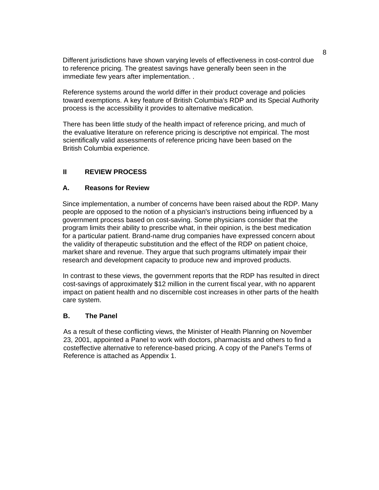Different jurisdictions have shown varying levels of effectiveness in cost-control due to reference pricing. The greatest savings have generally been seen in the immediate few years after implementation. .

Reference systems around the world differ in their product coverage and policies toward exemptions. A key feature of British Columbia's RDP and its Special Authority process is the accessibility it provides to alternative medication.

There has been little study of the health impact of reference pricing, and much of the evaluative literature on reference pricing is descriptive not empirical. The most scientifically valid assessments of reference pricing have been based on the British Columbia experience.

## **II REVIEW PROCESS**

### **A. Reasons for Review**

Since implementation, a number of concerns have been raised about the RDP. Many people are opposed to the notion of a physician's instructions being influenced by a government process based on cost-saving. Some physicians consider that the program limits their ability to prescribe what, in their opinion, is the best medication for a particular patient. Brand-name drug companies have expressed concern about the validity of therapeutic substitution and the effect of the RDP on patient choice, market share and revenue. They argue that such programs ultimately impair their research and development capacity to produce new and improved products.

In contrast to these views, the government reports that the RDP has resulted in direct cost-savings of approximately \$12 million in the current fiscal year, with no apparent impact on patient health and no discernible cost increases in other parts of the health care system.

## **B. The Panel**

As a result of these conflicting views, the Minister of Health Planning on November 23, 2001, appointed a Panel to work with doctors, pharmacists and others to find a costeffective alternative to reference-based pricing. A copy of the Panel's Terms of Reference is attached as Appendix 1.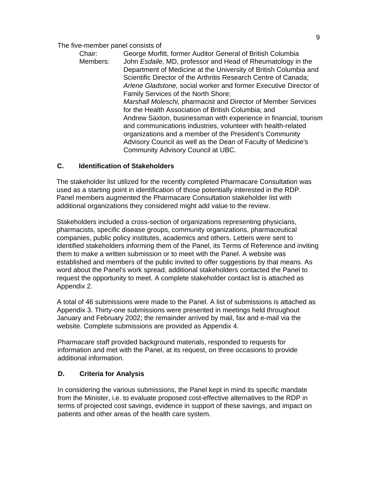## The five-member panel consists of

Chair: George Morfitt, former Auditor General of British Columbia Members: John *Esdaile,* MD, professor and Head of Rheumatology in the Department of Medicine at the University of British Columbia and Scientific Director of the Arthritis Research Centre of Canada; *Arlene Gladstone,* social worker and former Executive Director of Family Services of the North Shore; *Marshall Moleschi,* pharmacist and Director of Member Services for the Health Association of British Columbia; and Andrew Saxton, businessman with experience in financial, tourism and communications industries, volunteer with health-related organizations and a member of the President's Community Advisory Council as well as the Dean of Faculty of Medicine's Community Advisory Council at UBC.

## **C. Identification of Stakeholders**

The stakeholder list utilized for the recently completed Pharmacare Consultation was used as a starting point in identification of those potentially interested in the RDP. Panel members augmented the Pharmacare Consultation stakeholder list with additional organizations they considered might add value to the review.

Stakeholders included a cross-section of organizations representing physicians, pharmacists, specific disease groups, community organizations, pharmaceutical companies, public policy institutes, academics and others. Letters were sent to identified stakeholders informing them of the Panel, its Terms of Reference and inviting them to make a written submission or to meet with the Panel. A website was established and members of the public invited to offer suggestions by that means. As word about the Panel's work spread, additional stakeholders contacted the Panel to request the opportunity to meet. A complete stakeholder contact list is attached as Appendix 2.

A total of 46 submissions were made to the Panel. A list of submissions is attached as Appendix 3. Thirty-one submissions were presented in meetings held throughout January and February 2002; the remainder arrived by mail, fax and e-mail via the website. Complete submissions are provided as Appendix 4.

Pharmacare staff provided background materials, responded to requests for information and met with the Panel, at its request, on three occasions to provide additional information.

## **D. Criteria for Analysis**

In considering the various submissions, the Panel kept in mind its specific mandate from the Minister, i.e. to evaluate proposed cost-effective alternatives to the RDP in terms of projected cost savings, evidence in support of these savings, and impact on patients and other areas of the health care system.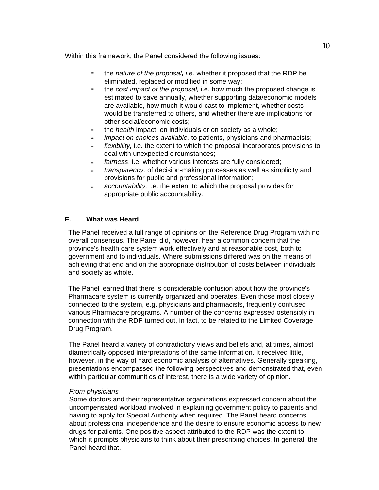Within this framework, the Panel considered the following issues:

- $\overline{\phantom{a}}$ the *nature of the proposal, i.e.* whether it proposed that the RDP be eliminated, replaced or modified in some way;
- the *cost impact of the proposal,* i.e. how much the proposed change is  $\overline{\phantom{a}}$ estimated to save annually, whether supporting data/economic models are available, how much it would cast to implement, whether costs would be transferred to others, and whether there are implications for other social/economic costs;
- the *health* impact, on individuals or on society as a whole;  $\overline{\phantom{a}}$
- *impact on choices available,* to patients, physicians and pharmacists;
- *flexibility,* i.e. the extent to which the proposal incorporates provisions to deal with unexpected circumstances;
- *fairness*, i.e. whether various interests are fully considered;  $\blacksquare$
- *transparency,* of decision-making processes as well as simplicity and provisions for public and professional information;
- *accountability,* i.e. the extent to which the proposal provides for appropriate public accountability.

### **E. What was Heard**

The Panel received a full range of opinions on the Reference Drug Program with no overall consensus. The Panel did, however, hear a common concern that the province's health care system work effectively and at reasonable cost, both to government and to individuals. Where submissions differed was on the means of achieving that end and on the appropriate distribution of costs between individuals and society as whole.

The Panel learned that there is considerable confusion about how the province's Pharmacare system is currently organized and operates. Even those most closely connected to the system, e.g. physicians and pharmacists, frequently confused various Pharmacare programs. A number of the concerns expressed ostensibly in connection with the RDP turned out, in fact, to be related to the Limited Coverage Drug Program.

The Panel heard a variety of contradictory views and beliefs and, at times, almost diametrically opposed interpretations of the same information. It received little, however, in the way of hard economic analysis of alternatives. Generally speaking, presentations encompassed the following perspectives and demonstrated that, even within particular communities of interest, there is a wide variety of opinion.

#### *From physicians*

Some doctors and their representative organizations expressed concern about the uncompensated workload involved in explaining government policy to patients and having to apply for Special Authority when required. The Panel heard concerns about professional independence and the desire to ensure economic access to new drugs for patients. One positive aspect attributed to the RDP was the extent to which it prompts physicians to think about their prescribing choices. In general, the Panel heard that,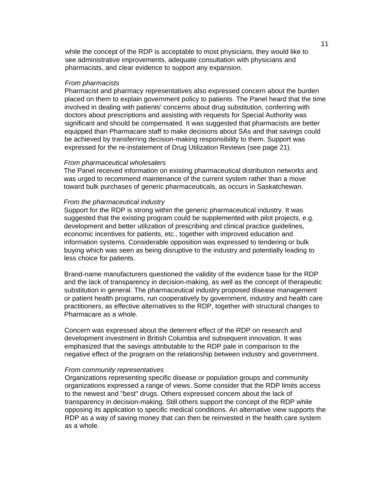while the concept of the RDP is acceptable to most physicians, they would like to see administrative improvements, adequate consultation with physicians and pharmacists, and clear evidence to support any expansion.

#### *From pharmacists*

Pharmacist and pharmacy representatives also expressed concern about the burden placed on them to explain government policy to patients. The Panel heard that the time involved in dealing with patients' concerns about drug substitution, conferring with doctors about prescriptions and assisting with requests for Special Authority was significant and should be compensated. It was suggested that pharmacists are better equipped than Pharmacare staff to make decisions about SAs and that savings could be achieved by transferring decision-making responsibility to them. Support was expressed for the re-instatement of Drug Utilization Reviews (see page 21).

#### *From pharmaceutical wholesalers*

The Panel received information on existing pharmaceutical distribution networks and was urged to recommend maintenance of the current system rather than a move toward bulk purchases of generic pharmaceuticals, as occurs in Saskatchewan.

#### *From the pharmaceutical industry*

Support for the RDP is strong within the generic pharmaceutical industry. It was suggested that the existing program could be supplemented with pilot projects, e.g. development and better utilization of prescribing and clinical practice guidelines, economic incentives for patients, etc., together with improved education and information systems. Considerable opposition was expressed to tendering or bulk buying which was seen as being disruptive to the industry and potentially leading to less choice for patients.

Brand-name manufacturers questioned the validity of the evidence base for the RDP and the lack of transparency in decision-making, as well as the concept of therapeutic substitution in general. The pharmaceutical industry proposed disease management or patient health programs, run cooperatively by government, industry and health care practitioners, as effective alternatives to the RDP, together with structural changes to Pharmacare as a whole.

Concern was expressed about the deterrent effect of the RDP on research and development investment in British Columbia and subsequent innovation. It was emphasized that the savings attributable to the RDP pale in comparison to the negative effect of the program on the relationship between industry and government.

#### *From community representatives*

Organizations representing specific disease or population groups and community organizations expressed a range of views. Some consider that the RDP limits access to the newest and "best" drugs. Others expressed concem about the lack of transparency in decision-making. Still others support the concept of the RDP while opposing its application to specific medical conditions. An alternative view supports the RDP as a way of saving money that can then be reinvested in the health care system as a whole.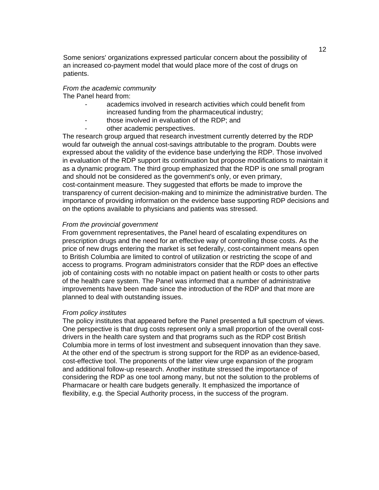Some seniors' organizations expressed particular concern about the possibility of an increased co-payment model that would place more of the cost of drugs on patients.

### *From the academic community*

The Panel heard from:

- academics involved in research activities which could benefit from increased funding from the pharmaceutical industry;
	- those involved in evaluation of the RDP; and
- other academic perspectives.

The research group argued that research investment currently deterred by the RDP would far outweigh the annual cost-savings attributable to the program. Doubts were expressed about the validity of the evidence base underlying the RDP. Those involved in evaluation of the RDP support its continuation but propose modifications to maintain it as a dynamic program. The third group emphasized that the RDP is one small program and should not be considered as the government's only, or even primary, cost-containment measure. They suggested that efforts be made to improve the transparency of current decision-making and to minimize the administrative burden. The importance of providing information on the evidence base supporting RDP decisions and on the options available to physicians and patients was stressed.

#### *From the provincial government*

From government representatives, the Panel heard of escalating expenditures on prescription drugs and the need for an effective way of controlling those costs. As the price of new drugs entering the market is set federally, cost-containment means open to British Columbia are limited to control of utilization or restricting the scope of and access to programs. Program administrators consider that the RDP does an effective job of containing costs with no notable impact on patient health or costs to other parts of the health care system. The Panel was informed that a number of administrative improvements have been made since the introduction of the RDP and that more are planned to deal with outstanding issues.

#### *From policy institutes*

The policy institutes that appeared before the Panel presented a full spectrum of views. One perspective is that drug costs represent only a small proportion of the overall costdrivers in the health care system and that programs such as the RDP cost British Columbia more in terms of lost investment and subsequent innovation than they save. At the other end of the spectrum is strong support for the RDP as an evidence-based, cost-effective tool. The proponents of the latter view urge expansion of the program and additional follow-up research. Another institute stressed the importance of considering the RDP as one tool among many, but not the solution to the problems of Pharmacare or health care budgets generally. It emphasized the importance of flexibility, e.g. the Special Authority process, in the success of the program.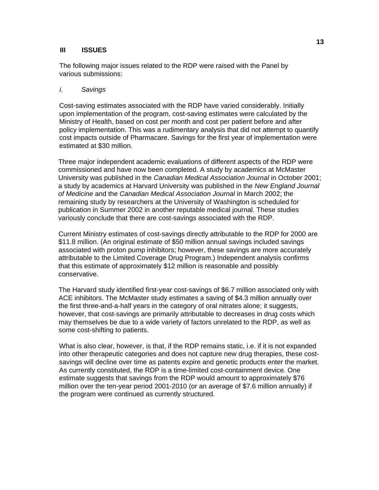#### **III ISSUES**

The following major issues related to the RDP were raised with the Panel by various submissions:

#### *i. Savings*

Cost-saving estimates associated with the RDP have varied considerably. Initially upon implementation of the program, cost-saving estimates were calculated by the Ministry of Health, based on cost per month and cost per patient before and after policy implementation. This was a rudimentary analysis that did not attempt to quantify cost impacts outside of Pharmacare. Savings for the first year of implementation were estimated at \$30 million.

Three major independent academic evaluations of different aspects of the RDP were commissioned and have now been completed. A study by academics at McMaster University was published in the *Canadian Medical Association Journal* in October 2001; a study by academics at Harvard University was published in the *New England Journal of Medicine* and the *Canadian Medical Association Journal* in March 2002; the remaining study by researchers at the University of Washington is scheduled for publication in Summer 2002 in another reputable medical journal. These studies variously conclude that there are cost-savings associated with the RDP.

Current Ministry estimates of cost-savings directly attributable to the RDP for 2000 are \$11.8 million. (An original estimate of \$50 million annual savings included savings associated with proton pump inhibitors; however, these savings are more accurately attributable to the Limited Coverage Drug Program.) Independent analysis confirms that this estimate of approximately \$12 million is reasonable and possibly conservative.

The Harvard study identified first-year cost-savings of \$6.7 million associated only with ACE inhibitors. The McMaster study estimates a saving of \$4.3 million annually over the first three-and-a-half years in the category of oral nitrates alone; it suggests, however, that cost-savings are primarily attributable to decreases in drug costs which may themselves be due to a wide variety of factors unrelated to the RDP, as well as some cost-shifting to patients.

What is also clear, however, is that, if the RDP remains static, i.e. if it is not expanded into other therapeutic categories and does not capture new drug therapies, these costsavings will decline over time as patents expire and genetic products enter the market. As currently constituted, the RDP is a time-limited cost-containment device. One estimate suggests that savings from the RDP would amount to approximately \$76 million over the ten-year period 2001-2010 (or an average of \$7.6 million annually) if the program were continued as currently structured.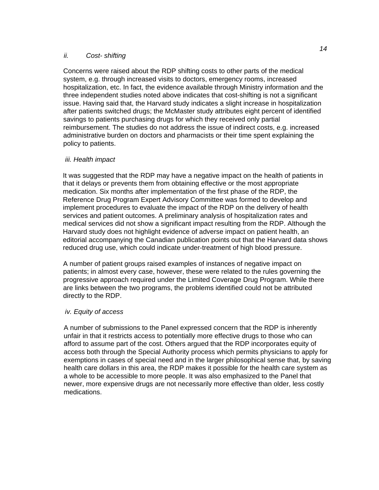### *ii. Cost- shifting*

Concerns were raised about the RDP shifting costs to other parts of the medical system, e.g. through increased visits to doctors, emergency rooms, increased hospitalization, etc. In fact, the evidence available through Ministry information and the three independent studies noted above indicates that cost-shifting is not a significant issue. Having said that, the Harvard study indicates a slight increase in hospitalization after patients switched drugs; the McMaster study attributes eight percent of identified savings to patients purchasing drugs for which they received only partial reimbursement. The studies do not address the issue of indirect costs, e.g. increased administrative burden on doctors and pharmacists or their time spent explaining the policy to patients.

## *iii. Health impact*

It was suggested that the RDP may have a negative impact on the health of patients in that it delays or prevents them from obtaining effective or the most appropriate medication. Six months after implementation of the first phase of the RDP, the Reference Drug Program Expert Advisory Committee was formed to develop and implement procedures to evaluate the impact of the RDP on the delivery of health services and patient outcomes. A preliminary analysis of hospitalization rates and medical services did not show a significant impact resulting from the RDP. Although the Harvard study does not highlight evidence of adverse impact on patient health, an editorial accompanying the Canadian publication points out that the Harvard data shows reduced drug use, which could indicate under-treatment of high blood pressure.

A number of patient groups raised examples of instances of negative impact on patients; in almost every case, however, these were related to the rules governing the progressive approach required under the Limited Coverage Drug Program. While there are links between the two programs, the problems identified could not be attributed directly to the RDP.

## *iv. Equity of access*

A number of submissions to the Panel expressed concern that the RDP is inherently unfair in that it restricts access to potentially more effective drugs to those who can afford to assume part of the cost. Others argued that the RDP incorporates equity of access both through the Special Authority process which permits physicians to apply for exemptions in cases of special need and in the larger philosophical sense that, by saving health care dollars in this area, the RDP makes it possible for the health care system as a whole to be accessible to more people. It was also emphasized to the Panel that newer, more expensive drugs are not necessarily more effective than older, less costly medications.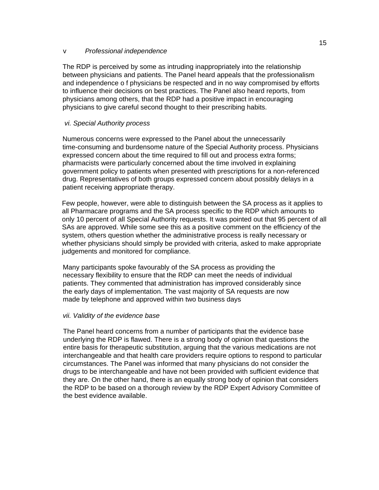#### v *Professional independence*

The RDP is perceived by some as intruding inappropriately into the relationship between physicians and patients. The Panel heard appeals that the professionalism and independence o f physicians be respected and in no way compromised by efforts to influence their decisions on best practices. The Panel also heard reports, from physicians among others, that the RDP had a positive impact in encouraging physicians to give careful second thought to their prescribing habits.

## *vi. Special Authority process*

Numerous concerns were expressed to the Panel about the unnecessarily time-consuming and burdensome nature of the Special Authority process. Physicians expressed concern about the time required to fill out and process extra forms; pharmacists were particularly concerned about the time involved in explaining government policy to patients when presented with prescriptions for a non-referenced drug. Representatives of both groups expressed concern about possibly delays in a patient receiving appropriate therapy.

Few people, however, were able to distinguish between the SA process as it applies to all Pharmacare programs and the SA process specific to the RDP which amounts to only 10 percent of all Special Authority requests. It was pointed out that 95 percent of all SAs are approved. While some see this as a positive comment on the efficiency of the system, others question whether the administrative process is really necessary or whether physicians should simply be provided with criteria, asked to make appropriate judgements and monitored for compliance.

Many participants spoke favourably of the SA process as providing the necessary flexibility to ensure that the RDP can meet the needs of individual patients. They commented that administration has improved considerably since the early days of implementation. The vast majority of SA requests are now made by telephone and approved within two business days

## *vii. Validity of the evidence base*

The Panel heard concerns from a number of participants that the evidence base underlying the RDP is flawed. There is a strong body of opinion that questions the entire basis for therapeutic substitution, arguing that the various medications are not interchangeable and that health care providers require options to respond to particular circumstances. The Panel was informed that many physicians do not consider the drugs to be interchangeable and have not been provided with sufficient evidence that they are. On the other hand, there is an equally strong body of opinion that considers the RDP to be based on a thorough review by the RDP Expert Advisory Committee of the best evidence available.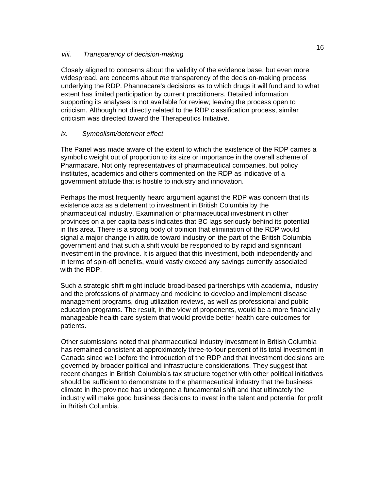### *viii. Transparency of decision-making*

Closely aligned to concerns about the validity of the evidenc**e** base, but even more widespread, are concerns about *the* transparency of the decision-making process underlying the RDP. Phannacare's decisions as to which drugs it will fund and to what extent has limited participation by current practitioners. Detailed information supporting its analyses is not available for review; leaving the process open to criticism. Although not directly related to the RDP classification process, similar criticism was directed toward the Therapeutics Initiative.

## *ix. Symbolism/deterrent effect*

The Panel was made aware of the extent to which the existence of the RDP carries a symbolic weight out of proportion to its size or importance in the overall scheme of Pharmacare. Not only representatives of pharmaceutical companies, but policy institutes, academics and others commented on the RDP as indicative of a government attitude that is hostile to industry and innovation.

Perhaps the most frequently heard argument against the RDP was concern that its existence acts as a deterrent to investment in British Columbia by the pharmaceutical industry. Examination of pharmaceutical investment in other provinces on a per capita basis indicates that BC lags seriously behind its potential in this area. There is a strong body of opinion that elimination of the RDP would signal a major change in attitude toward industry on the part of the British Columbia government and that such a shift would be responded to by rapid and significant investment in the province. It is argued that this investment, both independently and in terms of spin-off benefits, would vastly exceed any savings currently associated with the RDP.

Such a strategic shift might include broad-based partnerships with academia, industry and the professions of pharmacy and medicine to develop and implement disease management programs, drug utilization reviews, as well as professional and public education programs. The result, in the view of proponents, would be a more financially manageable health care system that would provide better health care outcomes for patients.

Other submissions noted that pharmaceutical industry investment in British Columbia has remained consistent at approximately three-to-four percent of its total investment in Canada since well before the introduction of the RDP and that investment decisions are governed by broader political and infrastructure considerations. They suggest that recent changes in British Columbia's tax structure together with other political initiatives should be sufficient to demonstrate to the pharmaceutical industry that the business climate in the province has undergone a fundamental shift and that ultimately the industry will make good business decisions to invest in the talent and potential for profit in British Columbia.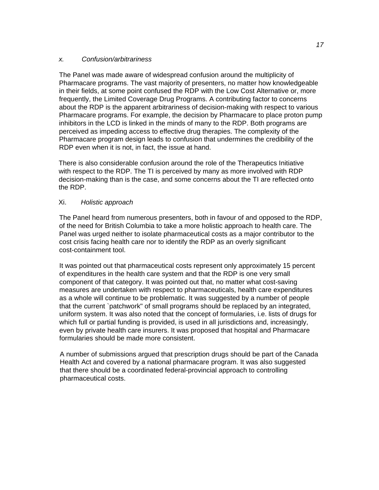### *x. Confusion/arbitrariness*

The Panel was made aware of widespread confusion around the multiplicity of Pharmacare programs. The vast majority of presenters, no matter how knowledgeable in their fields, at some point confused the RDP with the Low Cost Alternative or, more frequently, the Limited Coverage Drug Programs. A contributing factor to concerns about the RDP is the apparent arbitrariness of decision-making with respect to various Pharmacare programs. For example, the decision by Pharmacare to place proton pump inhibitors in the LCD is linked in the minds of many to the RDP. Both programs are perceived as impeding access to effective drug therapies. The complexity of the Pharmacare program design leads to confusion that undermines the credibility of the RDP even when it is not, in fact, the issue at hand.

There is also considerable confusion around the role of the Therapeutics Initiative with respect to the RDP. The TI is perceived by many as more involved with RDP decision-making than is the case, and some concerns about the TI are reflected onto the RDP.

## Xi. *Holistic approach*

The Panel heard from numerous presenters, both in favour of and opposed to the RDP, of the need for British Columbia to take a more holistic approach to health care. The Panel was urged neither to isolate pharmaceutical costs as a major contributor to the cost crisis facing health care nor to identify the RDP as an overly significant cost-containment tool.

It was pointed out that pharmaceutical costs represent only approximately 15 percent of expenditures in the health care system and that the RDP is one very small component of that category. It was pointed out that, no matter what cost-saving measures are undertaken with respect to pharmaceuticals, health care expenditures as a whole will continue to be problematic. It was suggested by a number of people that the current `patchwork" of small programs should be replaced by an integrated, uniform system. It was also noted that the concept of formularies, i.e. lists of drugs for which full or partial funding is provided, is used in all jurisdictions and, increasingly, even by private health care insurers. It was proposed that hospital and Pharmacare formularies should be made more consistent.

A number of submissions argued that prescription drugs should be part of the Canada Health Act and covered by a national pharmacare program. It was also suggested that there should be a coordinated federal-provincial approach to controlling pharmaceutical costs.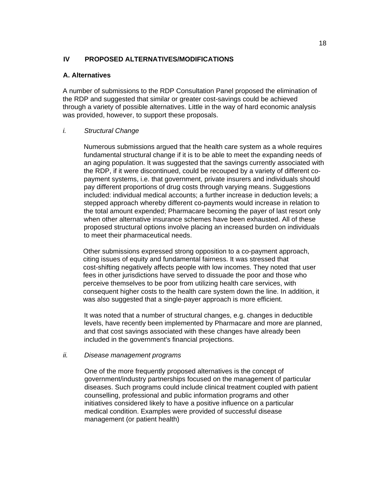## **IV PROPOSED ALTERNATIVES/MODIFICATIONS**

#### **A. Alternatives**

A number of submissions to the RDP Consultation Panel proposed the elimination of the RDP and suggested that similar or greater cost-savings could be achieved through a variety of possible alternatives. Little in the way of hard economic analysis was provided, however, to support these proposals.

#### *i. Structural Change*

Numerous submissions argued that the health care system as a whole requires fundamental structural change if it is to be able to meet the expanding needs of an aging population. It was suggested that the savings currently associated with the RDP, if it were discontinued, could be recouped by a variety of different copayment systems, i.e. that government, private insurers and individuals should pay different proportions of drug costs through varying means. Suggestions included: individual medical accounts; a further increase in deduction levels; a stepped approach whereby different co-payments would increase in relation to the total amount expended; Pharmacare becoming the payer of last resort only when other alternative insurance schemes have been exhausted. All of these proposed structural options involve placing an increased burden on individuals to meet their pharmaceutical needs.

Other submissions expressed strong opposition to a co-payment approach, citing issues of equity and fundamental fairness. It was stressed that cost-shifting negatively affects people with low incomes. They noted that user fees in other jurisdictions have served to dissuade the poor and those who perceive themselves to be poor from utilizing health care services, with consequent higher costs to the health care system down the line. In addition, it was also suggested that a single-payer approach is more efficient.

It was noted that a number of structural changes, e.g. changes in deductible levels, have recently been implemented by Pharmacare and more are planned, and that cost savings associated with these changes have already been included in the government's financial projections.

#### *ii. Disease management programs*

One of the more frequently proposed alternatives is the concept of government/industry partnerships focused on the management of particular diseases. Such programs could include clinical treatment coupled with patient counselling, professional and public information programs and other initiatives considered likely to have a positive influence on a particular medical condition. Examples were provided of successful disease management (or patient health)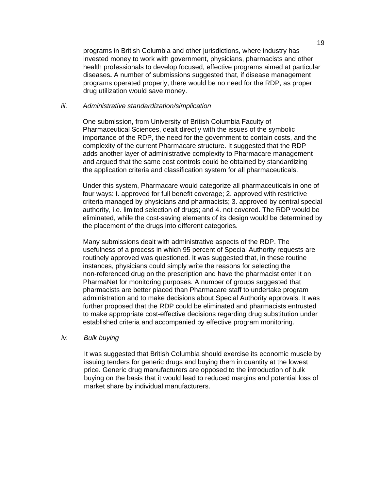programs in British Columbia and other jurisdictions, where industry has invested money to work with government, physicians, pharmacists and other health professionals to develop focused, effective programs aimed at particular diseases**.** A number of submissions suggested that, if disease management programs operated properly, there would be no need for the RDP, as proper drug utilization would save money.

#### *iii. Administrative standardization/simplication*

One submission, from University of British Columbia Faculty of Pharmaceutical Sciences, dealt directly with the issues of the symbolic importance of the RDP, the need for the government to contain costs, and the complexity of the current Pharmacare structure. It suggested that the RDP adds another layer of administrative complexity to Pharmacare management and argued that the same cost controls could be obtained by standardizing the application criteria and classification system for all pharmaceuticals.

Under this system, Pharmacare would categorize all pharmaceuticals in one of four ways: I. approved for full benefit coverage; 2. approved with restrictive criteria managed by physicians and pharmacists; 3. approved by central special authority, i.e. limited selection of drugs; and 4. not covered. The RDP would be eliminated, while the cost-saving elements of its design would be determined by the placement of the drugs into different categories.

Many submissions dealt with administrative aspects of the RDP. The usefulness of a process in which 95 percent of Special Authority requests are routinely approved was questioned. It was suggested that, in these routine instances, physicians could simply write the reasons for selecting the non-referenced drug on the prescription and have the pharmacist enter it on PharmaNet for monitoring purposes. A number of groups suggested that pharmacists are better placed than Pharmacare staff to undertake program administration and to make decisions about Special Authority approvals. It was further proposed that the RDP could be eliminated and pharmacists entrusted to make appropriate cost-effective decisions regarding drug substitution under established criteria and accompanied by effective program monitoring.

#### *iv. Bulk buying*

It was suggested that British Columbia should exercise its economic muscle by issuing tenders for generic drugs and buying them in quantity at the lowest price. Generic drug manufacturers are opposed to the introduction of bulk buying on the basis that it would lead to reduced margins and potential loss of market share by individual manufacturers.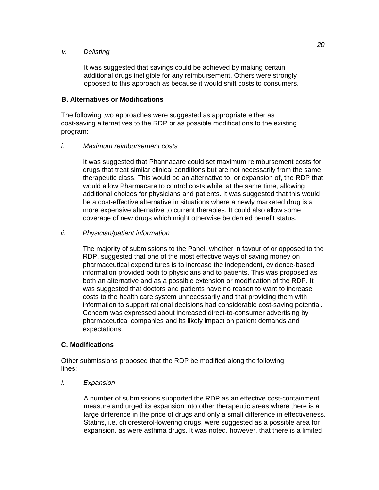#### *v. Delisting*

It was suggested that savings could be achieved by making certain additional drugs ineligible for any reimbursement. Others were strongly opposed to this approach as because it would shift costs to consumers.

### **B. Alternatives or Modifications**

The following two approaches were suggested as appropriate either as cost-saving alternatives to the RDP or as possible modifications to the existing program:

### *i. Maximum reimbursement costs*

It was suggested that Phannacare could set maximum reimbursement costs for drugs that treat similar clinical conditions but are not necessarily from the same therapeutic class. This would be an alternative to, or expansion of, the RDP that would allow Pharmacare to control costs while, at the same time, allowing additional choices for physicians and patients. It was suggested that this would be a cost-effective alternative in situations where a newly marketed drug is a more expensive alternative to current therapies. It could also allow some coverage of new drugs which might otherwise be denied benefit status.

### *ii. Physician/patient information*

The majority of submissions to the Panel, whether in favour of or opposed to the RDP, suggested that one of the most effective ways of saving money on pharmaceutical expenditures is to increase the independent, evidence-based information provided both to physicians and to patients. This was proposed as both an alternative and as a possible extension or modification of the RDP. It was suggested that doctors and patients have no reason to want to increase costs to the health care system unnecessarily and that providing them with information to support rational decisions had considerable cost-saving potential. Concern was expressed about increased direct-to-consumer advertising by pharmaceutical companies and its likely impact on patient demands and expectations.

## **C. Modifications**

Other submissions proposed that the RDP be modified along the following lines:

#### *i. Expansion*

A number of submissions supported the RDP as an effective cost-containment measure and urged its expansion into other therapeutic areas where there is a large difference in the price of drugs and only a small difference in effectiveness. Statins, i.e. chloresterol-lowering drugs, were suggested as a possible area for expansion, as were asthma drugs. It was noted, however, that there is a limited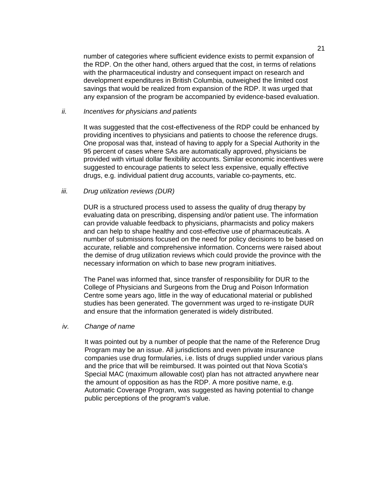number of categories where sufficient evidence exists to permit expansion of the RDP. On the other hand, others argued that the cost, in terms of relations with the pharmaceutical industry and consequent impact on research and development expenditures in British Columbia, outweighed the limited cost savings that would be realized from expansion of the RDP. It was urged that any expansion of the program be accompanied by evidence-based evaluation.

#### *ii. Incentives for physicians and patients*

It was suggested that the cost-effectiveness of the RDP could be enhanced by providing incentives to physicians and patients to choose the reference drugs. One proposal was that, instead of having to apply for a Special Authority in the 95 percent of cases where SAs are automatically approved, physicians be provided with virtual dollar flexibility accounts. Similar economic incentives were suggested to encourage patients to select less expensive, equally effective drugs, e.g. individual patient drug accounts, variable co-payments, etc.

#### *iii. Drug utilization reviews (DUR)*

DUR is a structured process used to assess the quality of drug therapy by evaluating data on prescribing, dispensing and/or patient use. The information can provide valuable feedback to physicians, pharmacists and policy makers and can help to shape healthy and cost-effective use of pharmaceuticals. A number of submissions focused on the need for policy decisions to be based on accurate, reliable and comprehensive information. Concerns were raised about the demise of drug utilization reviews which could provide the province with the necessary information on which to base new program initiatives.

The Panel was informed that, since transfer of responsibility for DUR to the College of Physicians and Surgeons from the Drug and Poison Information Centre some years ago, little in the way of educational material or published studies has been generated. The government was urged to re-instigate DUR and ensure that the information generated is widely distributed.

#### *iv. Change of name*

It was pointed out by a number of people that the name of the Reference Drug Program may be an issue. All jurisdictions and even private insurance companies use drug formularies, i.e. lists of drugs supplied under various plans and the price that will be reimbursed. It was pointed out that Nova Scotia's Special MAC (maximum allowable cost) plan has not attracted anywhere near the amount of opposition as has the RDP. A more positive name, e.g. Automatic Coverage Program, was suggested as having potential to change public perceptions of the program's value.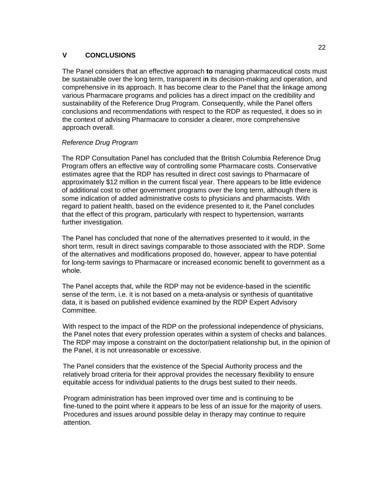### **V CONCLUSIONS**

The Panel considers that an effective approach **to** managing pharmaceutical costs must be sustainable over the long term, transparent i**n** its decision-making and operation, and comprehensive in its approach. It has become clear to the Panel that the linkage among various Pharmacare programs and policies has a direct impact on the credibility and sustainability of the Reference Drug Program. Consequently, while the Panel offers conclusions and recommendations with respect to the RDP as requested, it does so in the context of advising Pharmacare to consider a clearer, more comprehensive approach overall.

### *Reference Drug Program*

The RDP Consultation Panel has concluded that the British Columbia Reference Drug Program offers an effective way of controlling some Pharmacare costs. Conservative estimates agree that the RDP has resulted in direct cost savings to Pharmacare of approximately \$12 million in the current fiscal year. There appears to be little evidence of additional cost to other government programs over the long term, although there is some indication of added administrative costs to physicians and pharmacists. With regard to patient health, based on the evidence presented to it, the Panel concludes that the effect of this program, particularly with respect to hypertension, warrants further investigation.

The Panel has concluded that none of the alternatives presented to it would, in the short term, result in direct savings comparable to those associated with the RDP. Some of the alternatives and modifications proposed do, however, appear to have potential for long-term savings to Pharmacare or increased economic benefit to government as a whole.

The Panel accepts that, while the RDP may not be evidence-based in the scientific sense of the term, i.e. it is not based on a meta-analysis or synthesis of quantitative data, it is based on published evidence examined by the RDP Expert Advisory Committee.

With respect to the impact of the RDP on the professional independence of physicians, the Panel notes that every profession operates within a system of checks and balances. The RDP may impose a constraint on the doctor/patient relationship but, in the opinion of the Panel, it is not unreasonable or excessive.

The Panel considers that the existence of the Special Authority process and the relatively broad criteria for their approval provides the necessary flexibility to ensure equitable access for individual patients to the drugs best suited to their needs.

Program administration has been improved over time and is continuing to be fine-tuned to the point where it appears to be less of an issue for the majority of users. Procedures and issues around possible delay in therapy may continue to require attention.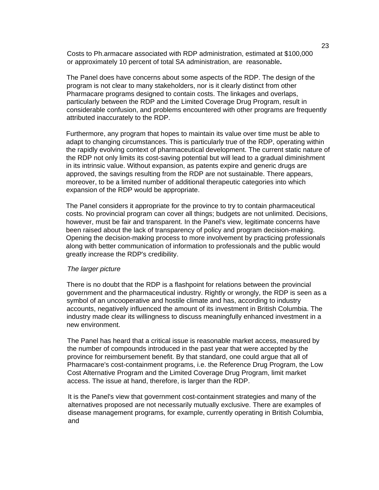Costs to Ph.armacare associated with RDP administration, estimated at \$100,000 or approximately 10 percent of total SA administration, are reasonable**.** 

The Panel does have concerns about some aspects of the RDP. The design of the program is not clear to many stakeholders, nor is it clearly distinct from other Pharmacare programs designed to contain costs. The linkages and overlaps, particularly between the RDP and the Limited Coverage Drug Program, result in considerable confusion, and problems encountered with other programs are frequently attributed inaccurately to the RDP.

Furthermore, any program that hopes to maintain its value over time must be able to adapt to changing circumstances. This is particularly true of the RDP, operating within the rapidly evolving context of pharmaceutical development. The current static nature of the RDP not only limits its cost-saving potential but will lead to a gradual diminishment in its intrinsic value. Without expansion, as patents expire and generic drugs are approved, the savings resulting from the RDP are not sustainable. There appears, moreover, to be a limited number of additional therapeutic categories into which expansion of the RDP would be appropriate.

The Panel considers it appropriate for the province to try to contain pharmaceutical costs. No provincial program can cover all things; budgets are not unlimited. Decisions, however, must be fair and transparent. In the Panel's view, legitimate concerns have been raised about the lack of transparency of policy and program decision-making. Opening the decision-making process to more involvement by practicing professionals along with better communication of information to professionals and the public would greatly increase the RDP's credibility.

#### *The larger picture*

There is no doubt that the RDP is a flashpoint for relations between the provincial government and the pharmaceutical industry. Rightly or wrongly, the RDP is seen as a symbol of an uncooperative and hostile climate and has, according to industry accounts, negatively influenced the amount of its investment in British Columbia. The industry made clear its willingness to discuss meaningfully enhanced investment in a new environment.

The Panel has heard that a critical issue is reasonable market access, measured by the number of compounds introduced in the past year that were accepted by the province for reimbursement benefit. By that standard, one could argue that all of Pharmacare's cost-containment programs, i.e. the Reference Drug Program, the Low Cost Alternative Program and the Limited Coverage Drug Program, limit market access. The issue at hand, therefore, is larger than the RDP.

It is the Panel's view that government cost-containment strategies and many of the alternatives proposed are not necessarily mutually exclusive. There are examples of disease management programs, for example, currently operating in British Columbia, and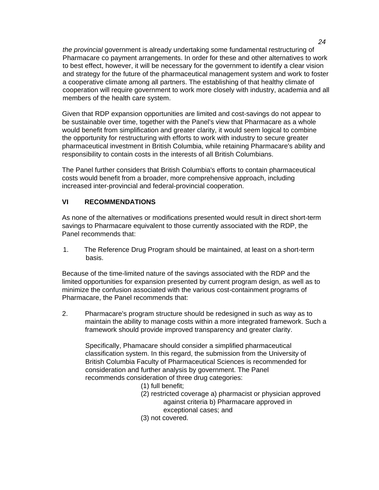*the provincial* government is already undertaking some fundamental restructuring of Pharmacare co payment arrangements. In order for these and other alternatives to work to best effect, however, it will be necessary for the government to identify a clear vision and strategy for the future of the pharmaceutical management system and work to foster a cooperative climate among all partners. The establishing of that healthy climate of cooperation will require government to work more closely with industry, academia and all members of the health care system.

Given that RDP expansion opportunities are limited and cost-savings do not appear to be sustainable over time, together with the Panel's view that Pharmacare as a whole would benefit from simplification and greater clarity, it would seem logical to combine the opportunity for restructuring with efforts to work with industry to secure greater pharmaceutical investment in British Columbia, while retaining Pharmacare's ability and responsibility to contain costs in the interests of all British Columbians.

The Panel further considers that British Columbia's efforts to contain pharmaceutical costs would benefit from a broader, more comprehensive approach, including increased inter-provincial and federal-provincial cooperation.

## **VI RECOMMENDATIONS**

As none of the alternatives or modifications presented would result in direct short-term savings to Pharmacare equivalent to those currently associated with the RDP, the Panel recommends that:

1. The Reference Drug Program should be maintained, at least on a short-term basis.

Because of the time-limited nature of the savings associated with the RDP and the limited opportunities for expansion presented by current program design, as well as to minimize the confusion associated with the various cost-containment programs of Pharmacare, the Panel recommends that:

2. Pharmacare's program structure should be redesigned in such as way as to maintain the ability to manage costs within a more integrated framework. Such a framework should provide improved transparency and greater clarity.

Specifically, Phamacare should consider a simplified pharmaceutical classification system. In this regard, the submission from the University of British Columbia Faculty of Pharmaceutical Sciences is recommended for consideration and further analysis by government. The Panel recommends consideration of three drug categories:

- (1) full benefit;
- (2) restricted coverage a) pharmacist or physician approved against criteria b) Pharmacare approved in exceptional cases; and
- (3) not covered.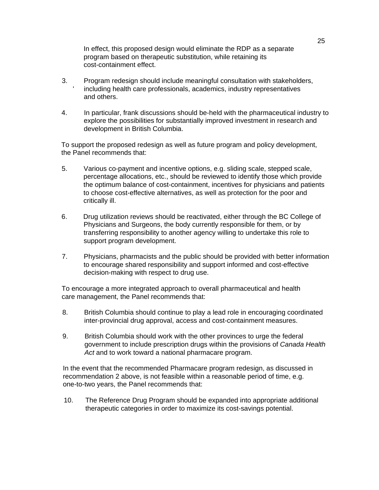In effect, this proposed design would eliminate the RDP as a separate program based on therapeutic substitution, while retaining its cost-containment effect.

- 3. Program redesign should include meaningful consultation with stakeholders, including health care professionals, academics, industry representatives and others.
- 4. In particular, frank discussions should be-held with the pharmaceutical industry to explore the possibilities for substantially improved investment in research and development in British Columbia.

To support the proposed redesign as well as future program and policy development, the Panel recommends that:

- 5. Various co-payment and incentive options, e.g. sliding scale, stepped scale, percentage allocations, etc., should be reviewed to identify those which provide the optimum balance of cost-containment, incentives for physicians and patients to choose cost-effective alternatives, as well as protection for the poor and critically ill.
- 6. Drug utilization reviews should be reactivated, either through the BC College of Physicians and Surgeons, the body currently responsible for them, or by transferring responsibility to another agency willing to undertake this role to support program development.
- 7. Physicians, pharmacists and the public should be provided with better information to encourage shared responsibility and support informed and cost-effective decision-making with respect to drug use.

To encourage a more integrated approach to overall pharmaceutical and health care management, the Panel recommends that:

- 8. British Columbia should continue to play a lead role in encouraging coordinated inter-provincial drug approval, access and cost-containment measures.
- 9. British Columbia should work with the other provinces to urge the federal government to include prescription drugs within the provisions of *Canada Health*  Act and to work toward a national pharmacare program.

In the event that the recommended Pharmacare program redesign, as discussed in recommendation 2 above, is not feasible within a reasonable period of time, e.g. one-to-two years, the Panel recommends that:

10. The Reference Drug Program should be expanded into appropriate additional therapeutic categories in order to maximize its cost-savings potential.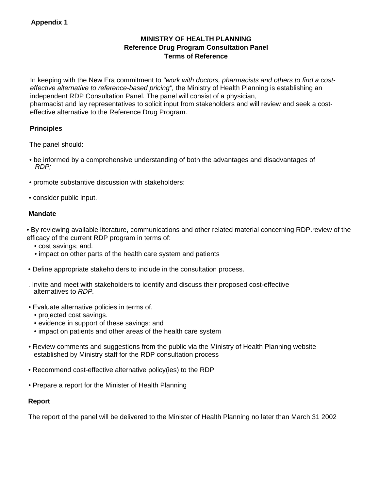## **MINISTRY OF HEALTH PLANNING Reference Drug Program Consultation Panel Terms of Reference**

In keeping with the New Era commitment to *"work with doctors, pharmacists and others to find a costeffective alternative to reference-based pricing",* the Ministry of Health Planning is establishing an independent RDP Consultation Panel. The panel will consist of a physician, pharmacist and lay representatives to solicit input from stakeholders and will review and seek a costeffective alternative to the Reference Drug Program.

## **Principles**

The panel should:

- be informed by a comprehensive understanding of both the advantages and disadvantages of *RDP;*
- promote substantive discussion with stakeholders:
- consider public input.

## **Mandate**

• By reviewing available literature, communications and other related material concerning RDP.review of the efficacy of the current RDP program in terms of:

- cost savings; and.
- impact on other parts of the health care system and patients
- Define appropriate stakeholders to include in the consultation process.

. Invite and meet with stakeholders to identify and discuss their proposed cost-effective alternatives to *RDP.* 

- Evaluate alternative policies in terms of.
	- projected cost savings.
	- evidence in support of these savings: and
	- impact on patients and other areas of the health care system
- Review comments and suggestions from the public via the Ministry of Health Planning website established by Ministry staff for the RDP consultation process
- Recommend cost-effective alternative policy(ies) to the RDP
- Prepare a report for the Minister of Health Planning

## **Report**

The report of the panel will be delivered to the Minister of Health Planning no later than March 31 2002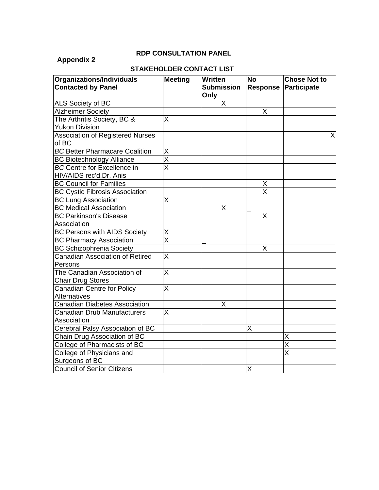## **Appendix 2**

## **RDP CONSULTATION PANEL**

## **STAKEHOLDER CONTACT LIST**

| Organizations/Individuals               | <b>Meeting</b>            | <b>Written</b>    | <b>No</b>               | <b>Chose Not to</b>     |
|-----------------------------------------|---------------------------|-------------------|-------------------------|-------------------------|
| <b>Contacted by Panel</b>               |                           | <b>Submission</b> | <b>Response</b>         | Participate             |
|                                         |                           | Only              |                         |                         |
| ALS Society of BC                       |                           | X                 |                         |                         |
| <b>Alzheimer Society</b>                |                           |                   | X                       |                         |
| The Arthritis Society, BC &             | X                         |                   |                         |                         |
| <b>Yukon Division</b>                   |                           |                   |                         |                         |
| <b>Association of Registered Nurses</b> |                           |                   |                         | X                       |
| of BC                                   |                           |                   |                         |                         |
| <b>BC Better Pharmacare Coalition</b>   | X                         |                   |                         |                         |
| <b>BC Biotechnology Alliance</b>        | $\overline{\mathsf{x}}$   |                   |                         |                         |
| <b>BC Centre for Excellence in</b>      | $\overline{\overline{x}}$ |                   |                         |                         |
| HIV/AIDS rec'd.Dr. Anis                 |                           |                   |                         |                         |
| <b>BC Council for Families</b>          |                           |                   | X                       |                         |
| <b>BC Cystic Fibrosis Association</b>   |                           |                   | $\overline{\mathsf{x}}$ |                         |
| <b>BC Lung Association</b>              | X                         |                   |                         |                         |
| <b>BC Medical Association</b>           |                           | Χ                 |                         |                         |
| <b>BC Parkinson's Disease</b>           |                           |                   | X                       |                         |
| Association                             |                           |                   |                         |                         |
| <b>BC Persons with AIDS Society</b>     | Χ                         |                   |                         |                         |
| <b>BC Pharmacy Association</b>          | $\overline{\mathsf{x}}$   |                   |                         |                         |
| <b>BC Schizophrenia Society</b>         |                           |                   | Χ                       |                         |
| <b>Canadian Association of Retired</b>  | X                         |                   |                         |                         |
| Persons                                 |                           |                   |                         |                         |
| The Canadian Association of             | X                         |                   |                         |                         |
| <b>Chair Drug Stores</b>                |                           |                   |                         |                         |
| Canadian Centre for Policy              | $\overline{\mathsf{x}}$   |                   |                         |                         |
| Alternatives                            |                           |                   |                         |                         |
| <b>Canadian Diabetes Association</b>    |                           | X                 |                         |                         |
| <b>Canadian Drub Manufacturers</b>      | X                         |                   |                         |                         |
| Association                             |                           |                   |                         |                         |
| Cerebral Palsy Association of BC        |                           |                   | X                       |                         |
| Chain Drug Association of BC            |                           |                   |                         | X                       |
| College of Pharmacists of BC            |                           |                   |                         | $\overline{\mathsf{x}}$ |
| College of Physicians and               |                           |                   |                         | $\overline{\mathsf{x}}$ |
| Surgeons of BC                          |                           |                   |                         |                         |
| <b>Council of Senior Citizens</b>       |                           |                   | X                       |                         |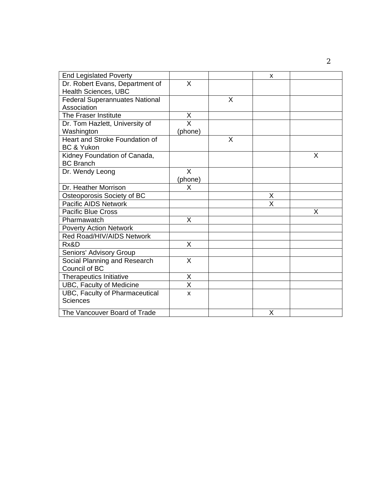| <b>End Legislated Poverty</b>         |                         |   | X                       |   |
|---------------------------------------|-------------------------|---|-------------------------|---|
| Dr. Robert Evans, Department of       | X                       |   |                         |   |
| Health Sciences, UBC                  |                         |   |                         |   |
| <b>Federal Superannuates National</b> |                         | X |                         |   |
| Association                           |                         |   |                         |   |
| The Fraser Institute                  | X                       |   |                         |   |
| Dr. Tom Hazlett, University of        | $\overline{\mathsf{x}}$ |   |                         |   |
| Washington                            | (phone)                 |   |                         |   |
| Heart and Stroke Foundation of        |                         | X |                         |   |
| <b>BC &amp; Yukon</b>                 |                         |   |                         |   |
| Kidney Foundation of Canada,          |                         |   |                         | X |
| <b>BC Branch</b>                      |                         |   |                         |   |
| Dr. Wendy Leong                       | X                       |   |                         |   |
|                                       | (phone)                 |   |                         |   |
| Dr. Heather Morrison                  | X                       |   |                         |   |
| Osteoporosis Society of BC            |                         |   | X                       |   |
| <b>Pacific AIDS Network</b>           |                         |   | $\overline{\mathsf{x}}$ |   |
| <b>Pacific Blue Cross</b>             |                         |   |                         | X |
| Pharmawatch                           | X                       |   |                         |   |
| <b>Poverty Action Network</b>         |                         |   |                         |   |
| Red Road/HIV/AIDS Network             |                         |   |                         |   |
| Rx&D                                  | X                       |   |                         |   |
| Seniors' Advisory Group               |                         |   |                         |   |
| Social Planning and Research          | X                       |   |                         |   |
| Council of BC                         |                         |   |                         |   |
| <b>Therapeutics Initiative</b>        | Χ                       |   |                         |   |
| UBC, Faculty of Medicine              | $\overline{\mathsf{x}}$ |   |                         |   |
| UBC, Faculty of Pharmaceutical        | X                       |   |                         |   |
| <b>Sciences</b>                       |                         |   |                         |   |
| The Vancouver Board of Trade          |                         |   | X                       |   |

2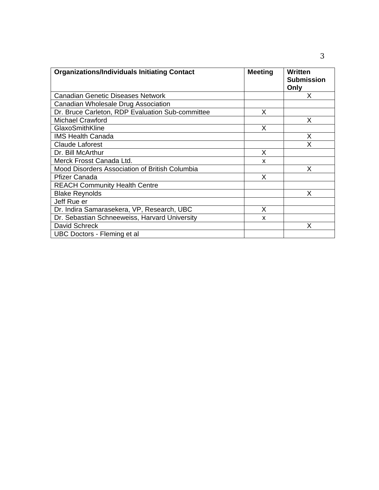| <b>Organizations/Individuals Initiating Contact</b> | <b>Meeting</b> | Written<br><b>Submission</b><br>Only |
|-----------------------------------------------------|----------------|--------------------------------------|
| Canadian Genetic Diseases Network                   |                | Χ                                    |
| Canadian Wholesale Drug Association                 |                |                                      |
| Dr. Bruce Carleton, RDP Evaluation Sub-committee    | X              |                                      |
| <b>Michael Crawford</b>                             |                | X                                    |
| GlaxoSmithKline                                     | Х              |                                      |
| <b>IMS Health Canada</b>                            |                | X                                    |
| <b>Claude Laforest</b>                              |                | Χ                                    |
| Dr. Bill McArthur                                   | X              |                                      |
| Merck Frosst Canada Ltd.                            | X              |                                      |
| Mood Disorders Association of British Columbia      |                | X                                    |
| <b>Pfizer Canada</b>                                | X              |                                      |
| <b>REACH Community Health Centre</b>                |                |                                      |
| <b>Blake Reynolds</b>                               |                | Χ                                    |
| Jeff Rue er                                         |                |                                      |
| Dr. Indira Samarasekera, VP, Research, UBC          | X              |                                      |
| Dr. Sebastian Schneeweiss, Harvard University       | X              |                                      |
| David Schreck                                       |                | Χ                                    |
| UBC Doctors - Fleming et al                         |                |                                      |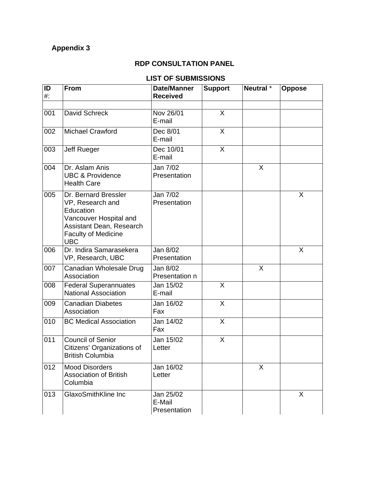## **Appendix 3**

## **RDP CONSULTATION PANEL**

## **LIST OF SUBMISSIONS**

| ID<br>#: | <b>From</b>                                                                                                                                             | <b>Date/Manner</b><br><b>Received</b> | <b>Support</b> | Neutral * | <b>Oppose</b> |
|----------|---------------------------------------------------------------------------------------------------------------------------------------------------------|---------------------------------------|----------------|-----------|---------------|
|          |                                                                                                                                                         |                                       |                |           |               |
| 001      | David Schreck                                                                                                                                           | Nov 26/01<br>E-mail                   | X              |           |               |
| 002      | <b>Michael Crawford</b>                                                                                                                                 | Dec 8/01<br>E-mail                    | X              |           |               |
| 003      | Jeff Rueger                                                                                                                                             | Dec 10/01<br>E-mail                   | $\sf X$        |           |               |
| 004      | Dr. Aslam Anis<br><b>UBC &amp; Providence</b><br><b>Health Care</b>                                                                                     | Jan 7/02<br>Presentation              |                | X         |               |
| 005      | Dr. Bernard Bressler<br>VP, Research and<br>Education<br>Vancouver Hospital and<br>Assistant Dean, Research<br><b>Faculty of Medicine</b><br><b>UBC</b> | Jan 7/02<br>Presentation              |                |           | X             |
| 006      | Dr. Indira Samarasekera<br>VP, Research, UBC                                                                                                            | Jan 8/02<br>Presentation              |                |           | X             |
| 007      | Canadian Wholesale Drug<br>Association                                                                                                                  | Jan 8/02<br>Presentation n            |                | X         |               |
| 008      | <b>Federal Superannuates</b><br><b>National Association</b>                                                                                             | Jan 15/02<br>E-mail                   | X              |           |               |
| 009      | <b>Canadian Diabetes</b><br>Association                                                                                                                 | Jan 16/02<br>Fax                      | X              |           |               |
| 010      | <b>BC Medical Association</b>                                                                                                                           | Jan 14/02<br>Fax                      | X              |           |               |
| 011      | <b>Council of Senior</b><br>Citizens' Organizations of<br><b>British Columbia</b>                                                                       | Jan 15!02<br>Letter                   | X              |           |               |
| 012      | <b>Mood Disorders</b><br><b>Association of British</b><br>Columbia                                                                                      | Jan 16/02<br>Letter                   |                | X         |               |
| 013      | GlaxoSmithKline Inc                                                                                                                                     | Jan 25/02<br>E-Mail<br>Presentation   |                |           | X             |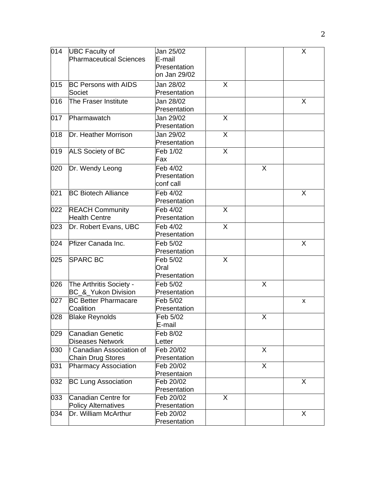| 014 | <b>UBC Faculty of</b>                              | Jan 25/02          |   |              | X |
|-----|----------------------------------------------------|--------------------|---|--------------|---|
|     | <b>Pharmaceutical Sciences</b>                     | E-mail             |   |              |   |
|     |                                                    | Presentation       |   |              |   |
|     |                                                    | on Jan 29/02       |   |              |   |
| 015 | <b>BC Persons with AIDS</b>                        | Jan 28/02          | X |              |   |
|     | Societ                                             | Presentation       |   |              |   |
| 016 | The Fraser Institute                               | Jan 28/02          |   |              | X |
|     |                                                    | Presentation       |   |              |   |
| 017 | Pharmawatch                                        | Jan 29/02          | X |              |   |
|     |                                                    | Presentation       |   |              |   |
| 018 | Dr. Heather Morrison                               | Jan 29/02          | X |              |   |
|     |                                                    | Presentation       |   |              |   |
| 019 | <b>ALS Society of BC</b>                           | Feb 1/02           | X |              |   |
|     |                                                    | Fax                |   |              |   |
| 020 | Dr. Wendy Leong                                    | Feb 4/02           |   | X            |   |
|     |                                                    | Presentation       |   |              |   |
|     |                                                    | conf call          |   |              |   |
| 021 | <b>BC Biotech Alliance</b>                         | Feb 4/02           |   |              | X |
|     |                                                    | Presentation       |   |              |   |
| 022 | <b>REACH Community</b>                             | Feb 4/02           | X |              |   |
|     | <b>Health Centre</b>                               | Presentation       |   |              |   |
| 023 | Dr. Robert Evans, UBC                              | Feb 4/02           | X |              |   |
|     |                                                    | Presentation       |   |              |   |
| 024 | Pfizer Canada Inc.                                 | Feb 5/02           |   |              | X |
|     |                                                    | Presentation       |   |              |   |
| 025 | <b>SPARC BC</b>                                    | Feb 5/02           | X |              |   |
|     |                                                    | Oral               |   |              |   |
|     |                                                    | Presentation       |   |              |   |
| 026 | The Arthritis Society -                            | Feb 5/02           |   | X            |   |
|     | BC_&_Yukon Division                                | Presentation       |   |              |   |
| 027 | <b>BC Better Pharmacare</b>                        | Feb 5/02           |   |              | X |
|     | Coalition                                          | Presentation       |   |              |   |
| 028 | <b>Blake Reynolds</b>                              | Feb 5/02           |   | X            |   |
|     |                                                    | E-mail             |   |              |   |
| 029 | <b>Canadian Genetic</b><br><b>Diseases Network</b> | Feb 8/02<br>Letter |   |              |   |
| 030 | ! Canadian Association of                          | Feb 20/02          |   | $\mathsf{X}$ |   |
|     | Chain Drug Stores                                  | Presentation       |   |              |   |
| 031 | <b>Pharmacy Association</b>                        | Feb 20/02          |   | X            |   |
|     |                                                    | Presentaion        |   |              |   |
| 032 | <b>BC Lung Association</b>                         | Feb 20/02          |   |              | X |
|     |                                                    | Presentation       |   |              |   |
| 033 | <b>Canadian Centre for</b>                         | Feb 20/02          | X |              |   |
|     | <b>Policy Alternatives</b>                         | Presentation       |   |              |   |
| 034 | Dr. William McArthur                               | Feb 20/02          |   |              | X |
|     |                                                    | Presentation       |   |              |   |